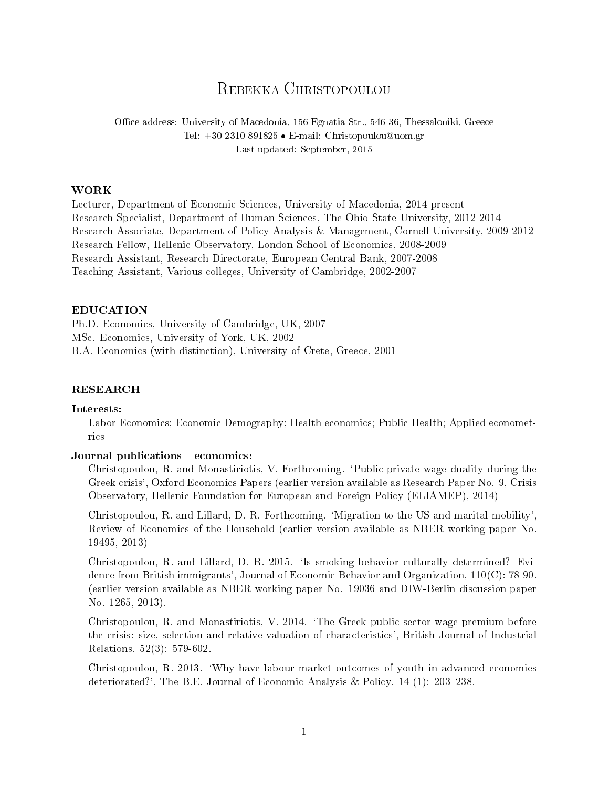# REBEKKA CHRISTOPOULOU

Office address: University of Macedonia, 156 Egnatia Str., 546 36, Thessaloniki, Greece Tel:  $+302310891825 \bullet$  E-mail: Christopoulou@uom.gr Last updated: September, 2015

# WORK

Lecturer, Department of Economic Sciences, University of Macedonia, 2014-present Research Specialist, Department of Human Sciences, The Ohio State University, 2012-2014 Research Associate, Department of Policy Analysis & Management, Cornell University, 2009-2012 Research Fellow, Hellenic Observatory, London School of Economics, 2008-2009 Research Assistant, Research Directorate, European Central Bank, 2007-2008 Teaching Assistant, Various colleges, University of Cambridge, 2002-2007

# EDUCATION

Ph.D. Economics, University of Cambridge, UK, 2007 MSc. Economics, University of York, UK, 2002 B.A. Economics (with distinction), University of Crete, Greece, 2001

# RESEARCH

# Interests:

Labor Economics; Economic Demography; Health economics; Public Health; Applied econometrics

# Journal publications - economics:

Christopoulou, R. and Monastiriotis, V. Forthcoming. `Public-private wage duality during the Greek crisis', Oxford Economics Papers (earlier version available as Research Paper No. 9, Crisis Observatory, Hellenic Foundation for European and Foreign Policy (ELIAMEP), 2014)

Christopoulou, R. and Lillard, D. R. Forthcoming. `Migration to the US and marital mobility', Review of Economics of the Household (earlier version available as NBER working paper No. 19495, 2013)

Christopoulou, R. and Lillard, D. R. 2015. `Is smoking behavior culturally determined? Evidence from British immigrants', Journal of Economic Behavior and Organization, 110(C): 78-90. (earlier version available as NBER working paper No. 19036 and DIW-Berlin discussion paper No. 1265, 2013).

Christopoulou, R. and Monastiriotis, V. 2014. `The Greek public sector wage premium before the crisis: size, selection and relative valuation of characteristics', British Journal of Industrial Relations. 52(3): 579-602.

Christopoulou, R. 2013. `Why have labour market outcomes of youth in advanced economies deteriorated?', The B.E. Journal of Economic Analysis & Policy. 14 (1): 203-238.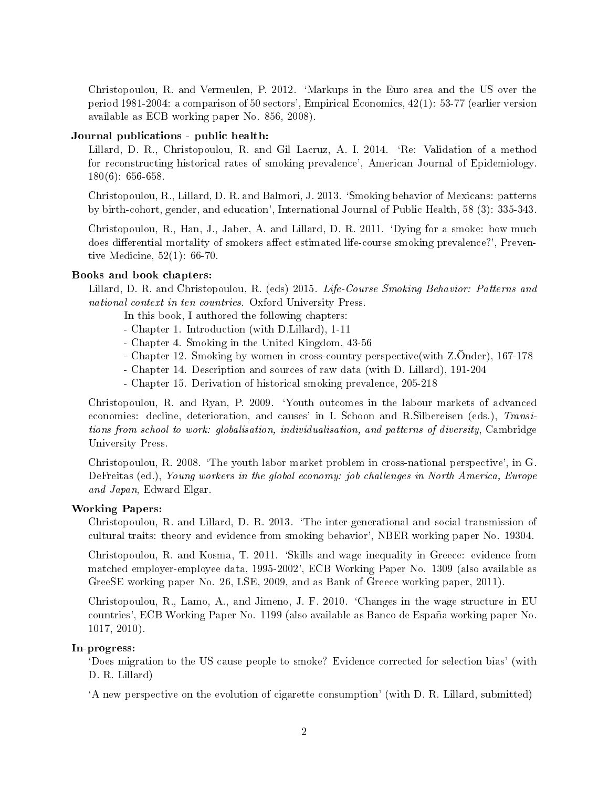Christopoulou, R. and Vermeulen, P. 2012. `Markups in the Euro area and the US over the period 1981-2004: a comparison of 50 sectors', Empirical Economics, 42(1): 53-77 (earlier version available as ECB working paper No. 856, 2008).

# Journal publications - public health:

Lillard, D. R., Christopoulou, R. and Gil Lacruz, A. I. 2014. `Re: Validation of a method for reconstructing historical rates of smoking prevalence', American Journal of Epidemiology. 180(6): 656-658.

Christopoulou, R., Lillard, D. R. and Balmori, J. 2013. `Smoking behavior of Mexicans: patterns by birth-cohort, gender, and education', International Journal of Public Health, 58 (3): 335-343.

Christopoulou, R., Han, J., Jaber, A. and Lillard, D. R. 2011. `Dying for a smoke: how much does differential mortality of smokers affect estimated life-course smoking prevalence?', Preventive Medicine, 52(1): 66-70.

## Books and book chapters:

Lillard, D. R. and Christopoulou, R. (eds) 2015. Life-Course Smoking Behavior: Patterns and national context in ten countries. Oxford University Press.

In this book, I authored the following chapters:

- Chapter 1. Introduction (with D.Lillard), 1-11
- Chapter 4. Smoking in the United Kingdom, 43-56
- Chapter 12. Smoking by women in cross-country perspective(with Z.Önder), 167-178
- Chapter 14. Description and sources of raw data (with D. Lillard), 191-204
- Chapter 15. Derivation of historical smoking prevalence, 205-218

Christopoulou, R. and Ryan, P. 2009. `Youth outcomes in the labour markets of advanced economies: decline, deterioration, and causes' in I. Schoon and R.Silbereisen (eds.), Transitions from school to work: globalisation, individualisation, and patterns of diversity, Cambridge University Press.

Christopoulou, R. 2008. `The youth labor market problem in cross-national perspective', in G. DeFreitas (ed.), Young workers in the global economy: job challenges in North America, Europe and Japan, Edward Elgar.

# Working Papers:

Christopoulou, R. and Lillard, D. R. 2013. `The inter-generational and social transmission of cultural traits: theory and evidence from smoking behavior', NBER working paper No. 19304.

Christopoulou, R. and Kosma, T. 2011. `Skills and wage inequality in Greece: evidence from matched employer-employee data, 1995-2002', ECB Working Paper No. 1309 (also available as GreeSE working paper No. 26, LSE, 2009, and as Bank of Greece working paper, 2011).

Christopoulou, R., Lamo, A., and Jimeno, J. F. 2010. `Changes in the wage structure in EU countries', ECB Working Paper No. 1199 (also available as Banco de España working paper No. 1017, 2010).

## In-progress:

`Does migration to the US cause people to smoke? Evidence corrected for selection bias' (with D. R. Lillard)

`A new perspective on the evolution of cigarette consumption' (with D. R. Lillard, submitted)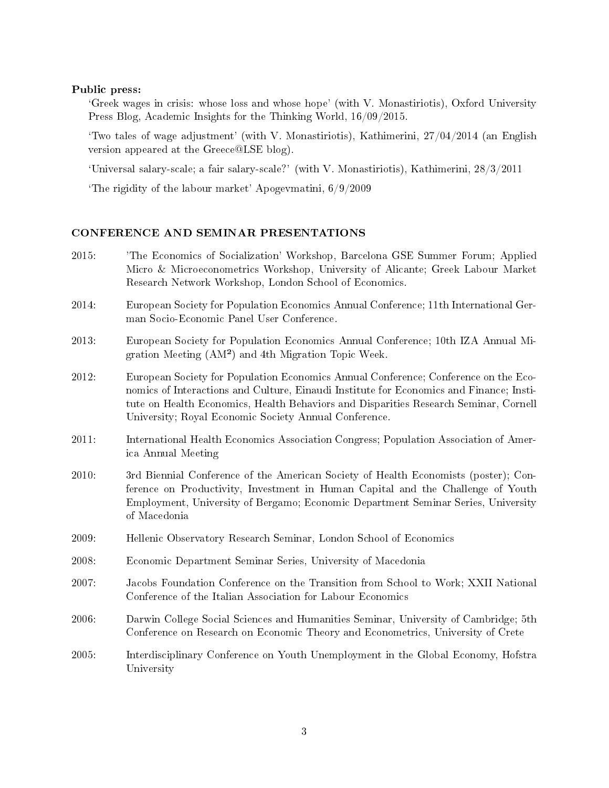#### Public press:

`Greek wages in crisis: whose loss and whose hope' (with V. Monastiriotis), Oxford University Press Blog, Academic Insights for the Thinking World, 16/09/2015.

Two tales of wage adjustment' (with V. Monastiriotis), Kathimerini,  $27/04/2014$  (an English version appeared at the Greece@LSE blog).

`Universal salary-scale; a fair salary-scale?' (with V. Monastiriotis), Kathimerini, 28/3/2011

The rigidity of the labour market' Apogevmatini,  $6/9/2009$ 

#### CONFERENCE AND SEMINAR PRESENTATIONS

- 2015: 'The Economics of Socialization' Workshop, Barcelona GSE Summer Forum; Applied Micro & Microeconometrics Workshop, University of Alicante; Greek Labour Market Research Network Workshop, London School of Economics.
- 2014: European Society for Population Economics Annual Conference; 11th International German Socio-Economic Panel User Conference.
- 2013: European Society for Population Economics Annual Conference; 10th IZA Annual Migration Meeting (AM²) and 4th Migration Topic Week.
- 2012: European Society for Population Economics Annual Conference; Conference on the Economics of Interactions and Culture, Einaudi Institute for Economics and Finance; Institute on Health Economics, Health Behaviors and Disparities Research Seminar, Cornell University; Royal Economic Society Annual Conference.
- 2011: International Health Economics Association Congress; Population Association of America Annual Meeting
- 2010: 3rd Biennial Conference of the American Society of Health Economists (poster); Conference on Productivity, Investment in Human Capital and the Challenge of Youth Employment, University of Bergamo; Economic Department Seminar Series, University of Macedonia
- 2009: Hellenic Observatory Research Seminar, London School of Economics
- 2008: Economic Department Seminar Series, University of Macedonia
- 2007: Jacobs Foundation Conference on the Transition from School to Work; XXII National Conference of the Italian Association for Labour Economics
- 2006: Darwin College Social Sciences and Humanities Seminar, University of Cambridge; 5th Conference on Research on Economic Theory and Econometrics, University of Crete
- 2005: Interdisciplinary Conference on Youth Unemployment in the Global Economy, Hofstra University